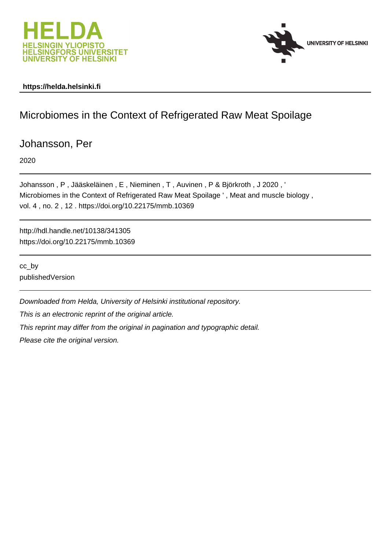



#### **https://helda.helsinki.fi**

# Microbiomes in the Context of Refrigerated Raw Meat Spoilage

Johansson, Per

2020

Johansson , P , Jääskeläinen , E , Nieminen , T , Auvinen , P & Björkroth , J 2020 , ' Microbiomes in the Context of Refrigerated Raw Meat Spoilage ' , Meat and muscle biology , vol. 4 , no. 2 , 12 . https://doi.org/10.22175/mmb.10369

http://hdl.handle.net/10138/341305 https://doi.org/10.22175/mmb.10369

cc\_by publishedVersion

Downloaded from Helda, University of Helsinki institutional repository.

This is an electronic reprint of the original article.

This reprint may differ from the original in pagination and typographic detail.

Please cite the original version.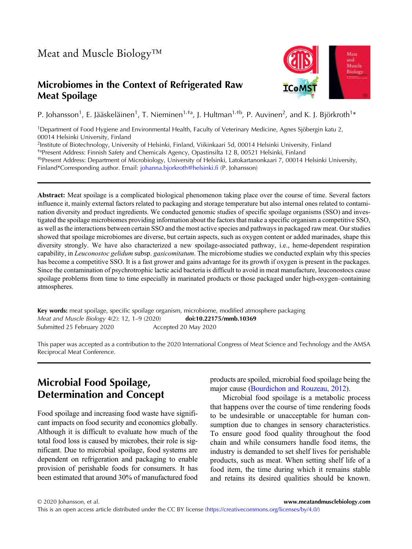#### Microbiomes in the Context of Refrigerated Raw Meat Spoilage



P. Johansson<sup>1</sup>, E. Jääskeläinen<sup>1</sup>, T. Nieminen<sup>1, †a</sup>, J. Hultman<sup>1, †b</sup>, P. Auvinen<sup>2</sup>, and K. J. Björkroth<sup>1</sup>\*

1Department of Food Hygiene and Environmental Health, Faculty of Veterinary Medicine, Agnes Sjöbergin katu 2, 00014 Helsinki University, Finland

2Institute of Biotechnology, University of Helsinki, Finland, Viikinkaari 5d, 00014 Helsinki University, Finland

<sup>ta</sup>Present Address: Finnish Safety and Chemicals Agency, Opastinsilta 12 B, 00521 Helsinki, Finland

†bPresent Address: Department of Microbiology, University of Helsinki, Latokartanonkaari 7, 00014 Helsinki University, Finland\*Corresponding author. Email: [johanna.bjorkroth@helsinki.fi](mailto:johanna.bjorkroth@helsinki.fi) (P. Johansson)

Abstract: Meat spoilage is a complicated biological phenomenon taking place over the course of time. Several factors influence it, mainly external factors related to packaging and storage temperature but also internal ones related to contamination diversity and product ingredients. We conducted genomic studies of specific spoilage organisms (SSO) and investigated the spoilage microbiomes providing information about the factors that make a specific organism a competitive SSO, as well as the interactions between certain SSO and the most active species and pathways in packaged raw meat. Our studies showed that spoilage microbiomes are diverse, but certain aspects, such as oxygen content or added marinades, shape this diversity strongly. We have also characterized a new spoilage-associated pathway, i.e., heme-dependent respiration capability, in Leuconostoc gelidum subsp. gasicomitatum. The microbiome studies we conducted explain why this species has become a competitive SSO. It is a fast grower and gains advantage for its growth if oxygen is present in the packages. Since the contamination of psychrotrophic lactic acid bacteria is difficult to avoid in meat manufacture, leuconostocs cause spoilage problems from time to time especially in marinated products or those packaged under high-oxygen–containing atmospheres.

Key words: meat spoilage, specific spoilage organism, microbiome, modified atmosphere packaging Meat and Muscle Biology 4(2): 12, 1–9 (2020) doi[:10.22175/mmb.10369](https://doi.org/10.22175/mmb.10369) Submitted 25 February 2020 Accepted 20 May 2020

This paper was accepted as a contribution to the 2020 International Congress of Meat Science and Technology and the AMSA Reciprocal Meat Conference.

## Microbial Food Spoilage, Determination and Concept

Food spoilage and increasing food waste have significant impacts on food security and economics globally. Although it is difficult to evaluate how much of the total food loss is caused by microbes, their role is significant. Due to microbial spoilage, food systems are dependent on refrigeration and packaging to enable provision of perishable foods for consumers. It has been estimated that around 30% of manufactured food products are spoiled, microbial food spoilage being the major cause (Bourdichon and Rouzeau, 2012).

Microbial food spoilage is a metabolic process that happens over the course of time rendering foods to be undesirable or unacceptable for human consumption due to changes in sensory characteristics. To ensure good food quality throughout the food chain and while consumers handle food items, the industry is demanded to set shelf lives for perishable products, such as meat. When setting shelf life of a food item, the time during which it remains stable and retains its desired qualities should be known.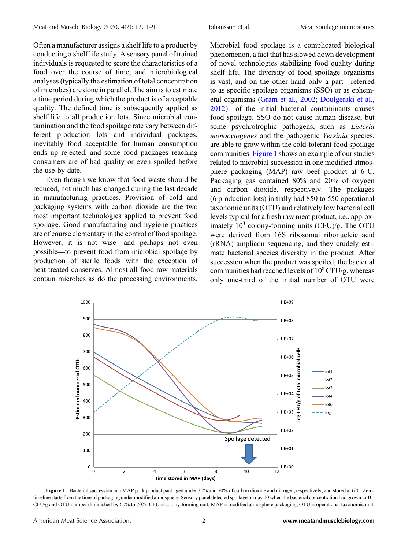Often a manufacturer assigns a shelf life to a product by conducting a shelf life study. A sensory panel of trained individuals is requested to score the characteristics of a food over the course of time, and microbiological analyses (typically the estimation of total concentration of microbes) are done in parallel. The aim is to estimate a time period during which the product is of acceptable quality. The defined time is subsequently applied as shelf life to all production lots. Since microbial contamination and the food spoilage rate vary between different production lots and individual packages, inevitably food acceptable for human consumption ends up rejected, and some food packages reaching consumers are of bad quality or even spoiled before the use-by date.

Even though we know that food waste should be reduced, not much has changed during the last decade in manufacturing practices. Provision of cold and packaging systems with carbon dioxide are the two most important technologies applied to prevent food spoilage. Good manufacturing and hygiene practices are of course elementary in the control of food spoilage. packaging systems with caroon dioxide are the two<br>most important technologies applied to prevent food<br>spoilage. Good manufacturing and hygiene practices<br>are of course elementary in the control of food spoilage.<br>However, it spoilage. Good manufacturing and hygiene practices<br>spoilage. Good manufacturing and hygiene practices<br>are of course elementary in the control of food spoilage.<br>However, it is not wise—and perhaps not even<br>possible—to preve production of sterile foods with the exception of heat-treated conserves. Almost all food raw materials contain microbes as do the processing environments.

Microbial food spoilage is a complicated biological phenomenon, a fact that has slowed down development of novel technologies stabilizing food quality during shelf life. The diversity of food spoilage organisms is a compinent of hological<br>phenomenon, a fact that has slowed down development<br>of novel technologies stabilizing food quality during<br>shelf life. The diversity of food spoilage organisms<br>is vast, and on the other hand only to as specific spoilage organisms (SSO) or as ephemeral organisms (Gram et al., 2002; Doulgeraki et al., shelf inc. The diversity of food sponage organisms<br>is vast, and on the other hand only a part—referred<br>to as specific spoilage organisms (SSO) or as ephem-<br>eral organisms (Gram et al., 2002; Doulgeraki et al.,<br>2012)—of the food spoilage. SSO do not cause human disease, but some psychrotrophic pathogens, such as Listeria monocytogenes and the pathogenic Yersinia species, are able to grow within the cold-tolerant food spoilage communities. Figure 1 shows an example of our studies related to microbial succession in one modified atmosphere packaging (MAP) raw beef product at 6°C. Packaging gas contained 80% and 20% of oxygen and carbon dioxide, respectively. The packages (6 production lots) initially had 850 to 550 operational taxonomic units (OTU) and relatively low bacterial cell levels typical for a fresh raw meat product, i.e., approximately  $10^3$  colony-forming units (CFU)/g. The OTU were derived from 16S ribosomal ribonucleic acid (rRNA) amplicon sequencing, and they crudely estimate bacterial species diversity in the product. After succession when the product was spoiled, the bacterial communities had reached levels of  $10^8$  CFU/g, whereas only one-third of the initial number of OTU were



Figure 1. Bacterial succession in a MAP pork product packaged under 30% and 70% of carbon dioxide and nitrogen, respectively, and stored at 6°C. Zerotimeline starts from the time of packaging under modified atmosphere. Sensory panel detected spoilage on day 10 when the bacterial concentration had grown to  $10<sup>8</sup>$ CFU/g and OTU number diminished by 60% to 70%. CFU = colony-forming unit; MAP = modified atmosphere packaging; OTU = operational taxonomic unit.

American Meat Science Association. 2 <www.meatandmusclebiology.com>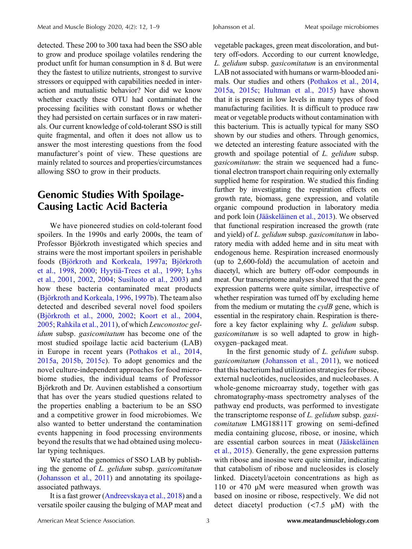detected. These 200 to 300 taxa had been the SSO able to grow and produce spoilage volatiles rendering the product unfit for human consumption in 8 d. But were they the fastest to utilize nutrients, strongest to survive stressors or equipped with capabilities needed in interaction and mutualistic behavior? Nor did we know whether exactly these OTU had contaminated the processing facilities with constant flows or whether they had persisted on certain surfaces or in raw materials. Our current knowledge of cold-tolerant SSO is still quite fragmental, and often it does not allow us to answer the most interesting questions from the food manufacturer's point of view. These questions are mainly related to sources and properties/circumstances allowing SSO to grow in their products.

#### Genomic Studies With Spoilage-Causing Lactic Acid Bacteria

We have pioneered studies on cold-tolerant food spoilers. In the 1990s and early 2000s, the team of Professor Björkroth investigated which species and strains were the most important spoilers in perishable foods (Björkroth and Korkeala, 1997a; Björkroth et al., 1998, 2000; Hyytiä-Trees et al., 1999; Lyhs et al., 2001, 2002, 2004; Susiluoto et al., 2003) and how these bacteria contaminated meat products (Björkroth and Korkeala, 1996, 1997b). The team also detected and described several novel food spoilers (Björkroth et al., 2000, 2002; Koort et al., 2004, 2005; Rahkila et al., 2011), of which Leuconostoc gelidum subsp. gasicomitatum has become one of the most studied spoilage lactic acid bacterium (LAB) in Europe in recent years (Pothakos et al., 2014, 2015a, 2015b, 2015c). To adopt genomics and the novel culture-independent approaches for food microbiome studies, the individual teams of Professor Björkroth and Dr. Auvinen established a consortium that has over the years studied questions related to the properties enabling a bacterium to be an SSO and a competitive grower in food microbiomes. We also wanted to better understand the contamination events happening in food processing environments beyond the results that we had obtained using molecular typing techniques.

We started the genomics of SSO LAB by publishing the genome of L. gelidum subsp. gasicomitatum (Johansson et al., 2011) and annotating its spoilageassociated pathways.

It is a fast grower (Andreevskaya et al., 2018) and a versatile spoiler causing the bulging of MAP meat and

vegetable packages, green meat discoloration, and buttery off-odors. According to our current knowledge, L. gelidum subsp. gasicomitatum is an environmental LAB not associated with humans or warm-blooded animals. Our studies and others (Pothakos et al., 2014, 2015a, 2015c; Hultman et al., 2015) have shown that it is present in low levels in many types of food manufacturing facilities. It is difficult to produce raw meat or vegetable products without contamination with this bacterium. This is actually typical for many SSO shown by our studies and others. Through genomics, we detected an interesting feature associated with the growth and spoilage potential of L. gelidum subsp. gasicomitatum: the strain we sequenced had a functional electron transport chain requiring only externally supplied heme for respiration. We studied this finding further by investigating the respiration effects on growth rate, biomass, gene expression, and volatile organic compound production in laboratory media and pork loin (Jääskeläinen et al., 2013). We observed that functional respiration increased the growth (rate and yield) of L. gelidum subsp. gasicomitatum in laboratory media with added heme and in situ meat with endogenous heme. Respiration increased enormously (up to 2,600-fold) the accumulation of acetoin and diacetyl, which are buttery off-odor compounds in meat. Our transcriptome analyses showed that the gene expression patterns were quite similar, irrespective of whether respiration was turned off by excluding heme from the medium or mutating the  $\alpha$  gene, which is essential in the respiratory chain. Respiration is therefore a key factor explaining why L. gelidum subsp. gasicomitatum is so well adapted to grow in highoxygen–packaged meat.

In the first genomic study of L. gelidum subsp. gasicomitatum (Johansson et al., 2011), we noticed that this bacterium had utilization strategies for ribose, external nucleotides, nucleosides, and nucleobases. A whole-genome microarray study, together with gas chromatography-mass spectrometry analyses of the pathway end products, was performed to investigate the transcriptome response of *L. gelidum* subsp. gasicomitatum LMG18811T growing on semi-defined media containing glucose, ribose, or inosine, which are essential carbon sources in meat (Jääskeläinen et al., 2015). Generally, the gene expression patterns with ribose and inosine were quite similar, indicating that catabolism of ribose and nucleosides is closely linked. Diacetyl/acetoin concentrations as high as 110 or 470 μM were measured when growth was based on inosine or ribose, respectively. We did not detect diacetyl production (<7.5 μM) with the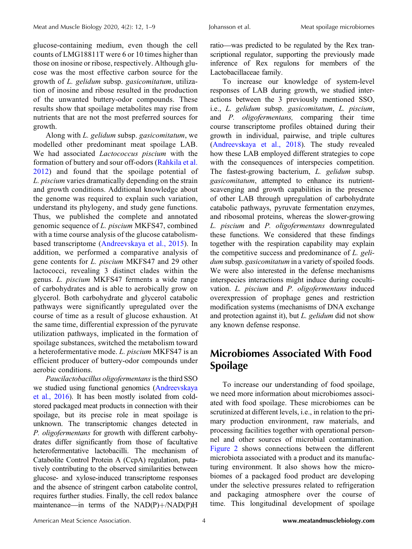glucose-containing medium, even though the cell counts of LMG18811T were 6 or 10 times higher than those on inosine or ribose, respectively. Although glucose was the most effective carbon source for the growth of L. gelidum subsp. gasicomitatum, utilization of inosine and ribose resulted in the production of the unwanted buttery-odor compounds. These results show that spoilage metabolites may rise from nutrients that are not the most preferred sources for growth.

Along with L. gelidum subsp. gasicomitatum, we modelled other predominant meat spoilage LAB. We had associated Lactococcus piscium with the formation of buttery and sour off-odors (Rahkila et al. 2012) and found that the spoilage potential of L. piscium varies dramatically depending on the strain and growth conditions. Additional knowledge about the genome was required to explain such variation, understand its phylogeny, and study gene functions. Thus, we published the complete and annotated genomic sequence of L. piscium MKFS47, combined with a time course analysis of the glucose catabolismbased transcriptome (Andreevskaya et al., 2015). In addition, we performed a comparative analysis of gene contents for L. piscium MKFS47 and 29 other lactococci, revealing 3 distinct clades within the genus. L. piscium MKFS47 ferments a wide range of carbohydrates and is able to aerobically grow on glycerol. Both carbohydrate and glycerol catabolic pathways were significantly upregulated over the course of time as a result of glucose exhaustion. At the same time, differential expression of the pyruvate utilization pathways, implicated in the formation of spoilage substances, switched the metabolism toward a heterofermentative mode. L. piscium MKFS47 is an efficient producer of buttery-odor compounds under aerobic conditions.

Paucilactobacillus oligofermentans is the third SSO we studied using functional genomics (Andreevskaya et al., 2016). It has been mostly isolated from coldstored packaged meat products in connection with their spoilage, but its precise role in meat spoilage is unknown. The transcriptomic changes detected in P. oligofermentans for growth with different carbohydrates differ significantly from those of facultative heterofermentative lactobacilli. The mechanism of Catabolite Control Protein A (CcpA) regulation, putatively contributing to the observed similarities between plucose- and xylose-induced transcriptome responses<br>glucose- and xylose-induced transcriptome responses<br>and the absence of stringent carbon catabolite control,<br>requires further studies. Finally, the cell redox balance<br>main and the absence of stringent carbon catabolite control, requires further studies. Finally, the cell redox balance Johansson et al. Meat spoilage microbiomes<br>ratio—was predicted to be regulated by the Rex transcriptional regulator, supporting the previously made inference of Rex regulons for members of the Lactobacillaceae family.

To increase our knowledge of system-level responses of LAB during growth, we studied interactions between the 3 previously mentioned SSO, i.e., L. gelidum subsp. gasicomitatum, L. piscium, and P. oligofermentans, comparing their time course transcriptome profiles obtained during their growth in individual, pairwise, and triple cultures (Andreevskaya et al., 2018). The study revealed how these LAB employed different strategies to cope with the consequences of interspecies competition. The fastest-growing bacterium, L. gelidum subsp. gasicomitatum, attempted to enhance its nutrientscavenging and growth capabilities in the presence of other LAB through upregulation of carbohydrate catabolic pathways, pyruvate fermentation enzymes, and ribosomal proteins, whereas the slower-growing L. piscium and P. oligofermentans downregulated these functions. We considered that these findings together with the respiration capability may explain the competitive success and predominance of L. gelidum subsp. gasicomitatum in a variety of spoiled foods. We were also interested in the defense mechanisms interspecies interactions might induce during cocultivation. L. piscium and P. oligofermentans induced overexpression of prophage genes and restriction modification systems (mechanisms of DNA exchange and protection against it), but L. gelidum did not show any known defense response.

#### Microbiomes Associated With Food Spoilage

To increase our understanding of food spoilage, we need more information about microbiomes associated with food spoilage. These microbiomes can be scrutinized at different levels, i.e., in relation to the primary production environment, raw materials, and processing facilities together with operational personnel and other sources of microbial contamination. Figure 2 shows connections between the different microbiota associated with a product and its manufacturing environment. It also shows how the microbiomes of a packaged food product are developing under the selective pressures related to refrigeration and packaging atmosphere over the course of time. This longitudinal development of spoilage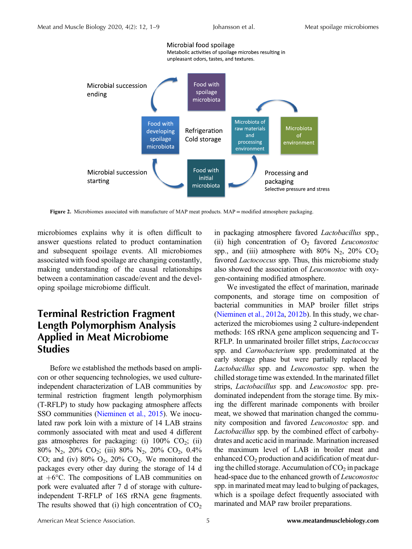

Figure 2. Microbiomes associated with manufacture of MAP meat products. MAP = modified atmosphere packaging.

microbiomes explains why it is often difficult to answer questions related to product contamination and subsequent spoilage events. All microbiomes associated with food spoilage are changing constantly, making understanding of the causal relationships between a contamination cascade/event and the developing spoilage microbiome difficult.

#### Terminal Restriction Fragment Length Polymorphism Analysis Applied in Meat Microbiome **Studies**

Before we established the methods based on amplicon or other sequencing technologies, we used cultureindependent characterization of LAB communities by terminal restriction fragment length polymorphism (T-RFLP) to study how packaging atmosphere affects SSO communities (Nieminen et al., 2015). We inoculated raw pork loin with a mixture of 14 LAB strains commonly associated with meat and used 4 different gas atmospheres for packaging: (i)  $100\%$  CO<sub>2</sub>; (ii) 80% N<sub>2</sub>, 20% CO<sub>2</sub>; (iii) 80% N<sub>2</sub>, 20% CO<sub>2</sub>, 0.4% CO; and (iv)  $80\%$  O<sub>2</sub>,  $20\%$  CO<sub>2</sub>. We monitored the packages every other day during the storage of 14 d at  $+6^{\circ}$ C. The compositions of LAB communities on pork were evaluated after 7 d of storage with cultureindependent T-RFLP of 16S rRNA gene fragments. The results showed that (i) high concentration of  $CO<sub>2</sub>$ 

in packaging atmosphere favored Lactobacillus spp., (ii) high concentration of  $O_2$  favored *Leuconostoc* spp., and (iii) atmosphere with 80%  $N_2$ , 20%  $CO_2$ favored *Lactococcus* spp. Thus, this microbiome study also showed the association of Leuconostoc with oxygen-containing modified atmosphere.

We investigated the effect of marination, marinade components, and storage time on composition of bacterial communities in MAP broiler fillet strips (Nieminen et al., 2012a, 2012b). In this study, we characterized the microbiomes using 2 culture-independent methods: 16S rRNA gene amplicon sequencing and T-RFLP. In unmarinated broiler fillet strips, Lactococcus spp. and *Carnobacterium* spp. predominated at the early storage phase but were partially replaced by Lactobacillus spp. and Leuconostoc spp. when the chilled storage time was extended. In the marinated fillet strips, Lactobacillus spp. and Leuconostoc spp. predominated independent from the storage time. By mixing the different marinade components with broiler meat, we showed that marination changed the community composition and favored Leuconostoc spp. and Lactobacillus spp. by the combined effect of carbohydrates and acetic acid in marinade. Marination increased the maximum level of LAB in broiler meat and enhanced  $CO<sub>2</sub>$  production and acidification of meat during the chilled storage. Accumulation of  $CO<sub>2</sub>$  in package head-space due to the enhanced growth of Leuconostoc spp. in marinated meat may lead to bulging of packages, which is a spoilage defect frequently associated with marinated and MAP raw broiler preparations.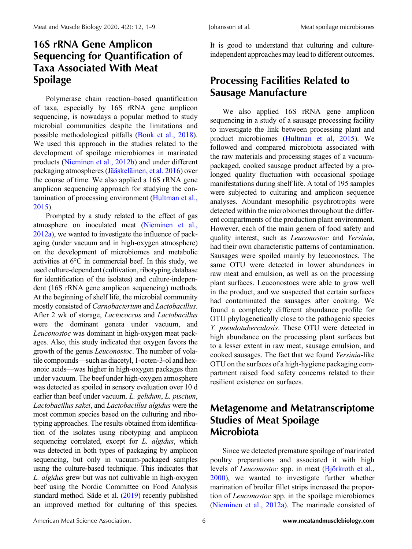Polymerase chain reaction–based quantification of taxa, especially by 16S rRNA gene amplicon sequencing, is nowadays a popular method to study microbial communities despite the limitations and possible methodological pitfalls (Bonk et al., 2018). We used this approach in the studies related to the development of spoilage microbiomes in marinated products (Nieminen et al., 2012b) and under different packaging atmospheres (Jääskeläinen, et al. 2016) over the course of time. We also applied a 16S rRNA gene amplicon sequencing approach for studying the contamination of processing environment (Hultman et al., 2015).

Prompted by a study related to the effect of gas atmosphere on inoculated meat (Nieminen et al., 2012a), we wanted to investigate the influence of packaging (under vacuum and in high-oxygen atmosphere) on the development of microbiomes and metabolic activities at 6°C in commercial beef. In this study, we used culture-dependent (cultivation, ribotyping database for identification of the isolates) and culture-independent (16S rRNA gene amplicon sequencing) methods. At the beginning of shelf life, the microbial community mostly consisted of Carnobacterium and Lactobacillus. After 2 wk of storage, Lactococcus and Lactobacillus were the dominant genera under vacuum, and Leuconostoc was dominant in high-oxygen meat pack-<br>ages. Also, this study indicated that oxygen favors the<br>growth of the genus *Leuconostoc*. The number of vola-<br>tile compounds—such as diacetyl, 1-octen-3-ol and hex-Leaconosioc was dominant in ingn-oxygen incar packages. Also, this study indicated that oxygen favors the growth of the genus *Leuconostoc*. The number of volatile compounds—such as diacetyl, 1-octen-3-ol and hexanoic acid growth of the genus Leuconostoc. The number of volaunder vacuum. The beef under high-oxygen atmosphere was detected as spoiled in sensory evaluation over 10 d earlier than beef under vacuum. L. gelidum, L. piscium, Lactobacillus sakei, and Lactobacillus algidus were the most common species based on the culturing and ribotyping approaches. The results obtained from identification of the isolates using ribotyping and amplicon sequencing correlated, except for *L. algidus*, which was detected in both types of packaging by amplicon sequencing, but only in vacuum-packaged samples using the culture-based technique. This indicates that L. algidus grew but was not cultivable in high-oxygen beef using the Nordic Committee on Food Analysis standard method. Säde et al. (2019) recently published an improved method for culturing of this species.

It is good to understand that culturing and cultureindependent approaches may lead to different outcomes.

## Processing Facilities Related to Sausage Manufacture

We also applied 16S rRNA gene amplicon sequencing in a study of a sausage processing facility to investigate the link between processing plant and product microbiomes (Hultman et al, 2015). We followed and compared microbiota associated with the raw materials and processing stages of a vacuumpackaged, cooked sausage product affected by a prolonged quality fluctuation with occasional spoilage manifestations during shelf life. A total of 195 samples were subjected to culturing and amplicon sequence analyses. Abundant mesophilic psychrotrophs were detected within the microbiomes throughout the different compartments of the production plant environment. However, each of the main genera of food safety and quality interest, such as Leuconostoc and Yersinia, had their own characteristic patterns of contamination. Sausages were spoiled mainly by leuconostocs. The same OTU were detected in lower abundances in raw meat and emulsion, as well as on the processing plant surfaces. Leuconostocs were able to grow well in the product, and we suspected that certain surfaces had contaminated the sausages after cooking. We found a completely different abundance profile for OTU phylogenetically close to the pathogenic species Y. pseudotuberculosis. These OTU were detected in high abundance on the processing plant surfaces but to a lesser extent in raw meat, sausage emulsion, and cooked sausages. The fact that we found Yersinia-like OTU on the surfaces of a high-hygiene packaging compartment raised food safety concerns related to their resilient existence on surfaces.

#### Metagenome and Metatranscriptome Studies of Meat Spoilage **Microbiota**

Since we detected premature spoilage of marinated poultry preparations and associated it with high levels of Leuconostoc spp. in meat (Björkroth et al., 2000), we wanted to investigate further whether marination of broiler fillet strips increased the proportion of Leuconostoc spp. in the spoilage microbiomes (Nieminen et al., 2012a). The marinade consisted of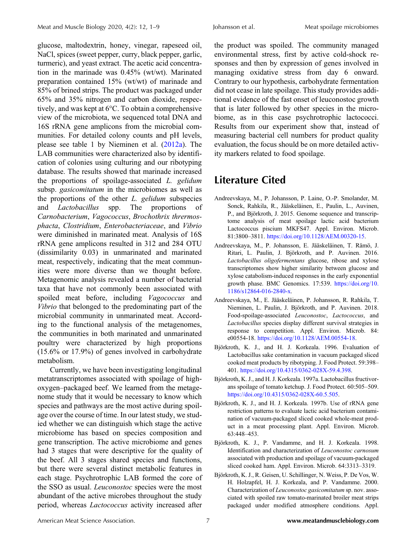glucose, maltodextrin, honey, vinegar, rapeseed oil, NaCl, spices (sweet pepper, curry, black pepper, garlic, turmeric), and yeast extract. The acetic acid concentration in the marinade was 0.45% (wt/wt). Marinated preparation contained 15% (wt/wt) of marinade and 85% of brined strips. The product was packaged under 65% and 35% nitrogen and carbon dioxide, respectively, and was kept at 6°C. To obtain a comprehensive view of the microbiota, we sequenced total DNA and 16S rRNA gene amplicons from the microbial communities. For detailed colony counts and pH levels, please see table 1 by Nieminen et al. (2012a). The LAB communities were characterized also by identification of colonies using culturing and our ribotyping database. The results showed that marinade increased the proportions of spoilage-associated L. gelidum subsp. *gasicomitatum* in the microbiomes as well as the proportions of the other  $L$ . gelidum subspecies and Lactobacillus spp. The proportions of Carnobacterium, Vagococcus, Brochothrix thrermosphacta, Clostridium, Enterobacteriaceae, and Vibrio were diminished in marinated meat. Analysis of 16S rRNA gene amplicons resulted in 312 and 284 OTU (dissimilarity 0.03) in unmarinated and marinated meat, respectively, indicating that the meat communities were more diverse than we thought before. Metagenomic analysis revealed a number of bacterial taxa that have not commonly been associated with spoiled meat before, including *Vagococcus* and Vibrio that belonged to the predominating part of the microbial community in unmarinated meat. According to the functional analysis of the metagenomes, the communities in both marinated and unmarinated poultry were characterized by high proportions (15.6% or 17.9%) of genes involved in carbohydrate metabolism.

Currently, we have been investigating longitudinal metatranscriptomes associated with spoilage of highoxygen–packaged beef. We learned from the metagenome study that it would be necessary to know which species and pathways are the most active during spoilage over the course of time. In our latest study, we studied whether we can distinguish which stage the active microbiome has based on species composition and gene transcription. The active microbiome and genes had 3 stages that were descriptive for the quality of the beef. All 3 stages shared species and functions, but there were several distinct metabolic features in each stage. Psychrotrophic LAB formed the core of the SSO as usual. Leuconostoc species were the most abundant of the active microbes throughout the study period, whereas Lactococcus activity increased after

the product was spoiled. The community managed environmental stress, first by active cold-shock responses and then by expression of genes involved in managing oxidative stress from day 6 onward. Contrary to our hypothesis, carbohydrate fermentation did not cease in late spoilage. This study provides additional evidence of the fast onset of leuconostoc growth that is later followed by other species in the microbiome, as in this case psychrotrophic lactococci. Results from our experiment show that, instead of measuring bacterial cell numbers for product quality evaluation, the focus should be on more detailed activity markers related to food spoilage.

#### Literature Cited

- Andreevskaya, M., P. Johansson, P. Laine, O.-P. Smolander, M. Sonck, Rahkila, R., Jääskeläinen, E., Paulin, L., Auvinen, P., and Björkroth, J. 2015. Genome sequence and transcriptome analysis of meat spoilage lactic acid bacterium Lactococcus piscium MKFS47. Appl. Environ. Microb. 81:3800–3811. [https://doi.org/10.1128/AEM.00320-15.](https://doi.org/10.1128/AEM.00320-15)
- Andreevskaya, M., P. Johansson, E. Jääskeläinen, T. Rämö, J. Ritari, L. Paulin, J. Björkroth, and P. Auvinen. 2016. Lactobacillus oligofermentans glucose, ribose and xylose transcriptomes show higher similarity between glucose and xylose catabolism-induced responses in the early exponential growth phase. BMC Genomics. 17:539. [https://doi.org/10.](https://doi.org/10.1186/s12864-016-2840-x) [1186/s12864-016-2840-x](https://doi.org/10.1186/s12864-016-2840-x).
- Andreevskaya, M., E. Jääskeläinen, P. Johansson, R. Rahkila, T. Nieminen, L. Paulin, J. Björkroth, and P. Auvinen. 2018. Food-spoilage-associated Leuconostoc, Lactococcus, and Lactobacillus species display different survival strategies in response to competition. Appl. Environ. Microb. 84: e00554-18. <https://doi.org/10.1128/AEM.00554-18>.
- Björkroth, K. J., and H. J. Korkeala. 1996. Evaluation of Lactobacillus sake contamination in vacuum packaged sliced cooked meat products by ribotyping. J. Food Protect. 59:398– 401. [https://doi.org/10.4315/0362-028X-59.4.398.](https://doi.org/10.4315/0362-028X-59.4.398)
- Björkroth, K. J., and H. J. Korkeala. 1997a. Lactobacillus fructivorans spoilage of tomato ketchup. J. Food Protect. 60:505–509. [https://doi.org/10.4315/0362-028X-60.5.505.](https://doi.org/10.4315/0362-028X-60.5.505)
- Björkroth, K. J., and H. J. Korkeala. 1997b. Use of rRNA gene restriction patterns to evaluate lactic acid bacterium contamination of vacuum-packaged sliced cooked whole-meat product in a meat processing plant. Appl. Environ. Microb. 63:448–453.
- Björkroth, K. J., P. Vandamme, and H. J. Korkeala. 1998. Identification and characterization of Leuconostoc carnosum associated with production and spoilage of vacuum-packaged sliced cooked ham. Appl. Environ. Microb. 64:3313–3319.
- Björkroth, K. J., R. Geisen, U. Schillinger, N. Weiss, P. De Vos, W. H. Holzapfel, H. J. Korkeala, and P. Vandamme. 2000. Characterization of Leuconostoc gasicomitatum sp. nov. associated with spoiled raw tomato-marinated broiler meat strips packaged under modified atmosphere conditions. Appl.

American Meat Science Association. 7 <www.meatandmusclebiology.com>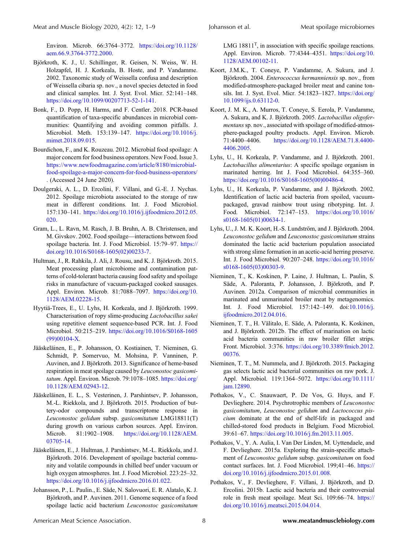Environ. Microb. 66:3764–3772. [https://doi.org/10.1128/](https://doi.org/10.1128/aem.66.9.3764-3772.2000) [aem.66.9.3764-3772.2000](https://doi.org/10.1128/aem.66.9.3764-3772.2000).

- Björkroth, K. J., U. Schillinger, R. Geisen, N. Weiss, W. H. Holzapfel, H. J. Korkeala, B. Hoste, and P. Vandamme. 2002. Taxonomic study of Weissella confusa and description of Weissella cibaria sp. nov., a novel species detected in food and clinical samples. Int. J. Syst. Evol. Micr. 52:141–148. [https://doi.org/10.1099/00207713-52-1-141.](https://doi.org/10.1099/00207713-52-1-141)
- Bonk, F., D. Popp, H. Harms, and F. Centler. 2018. PCR-based quantification of taxa-specific abundances in microbial communities: Quantifying and avoiding common pitfalls. J. Microbiol. Meth. 153:139–147. [https://doi.org/10.1016/j.](https://doi.org/10.1016/j.mimet.2018.09.015) [mimet.2018.09.015.](https://doi.org/10.1016/j.mimet.2018.09.015)
- Bourdichon, F., and K. Rouzeau. 2012. Microbial food spoilage: A major concern for food business operators. New Food. Issue 3. [https://www.newfoodmagazine.com/article/8180/microbial](https://www.newfoodmagazine.com/article/8180/microbial-food-spoilage-a-major-concern-for-food-business-operators/)[food-spoilage-a-major-concern-for-food-business-operators/](https://www.newfoodmagazine.com/article/8180/microbial-food-spoilage-a-major-concern-for-food-business-operators/) . (Accessed 24 June 2020).
- Doulgeraki, A. L., D. Ercolini, F. Villani, and G.-E. J. Nychas. 2012. Spoilage microbiota associated to the storage of raw meat in different conditions. Int. J. Food Microbiol. 157:130–141. [https://doi.org/10.1016/j.ijfoodmicro.2012.05.](https://doi.org/10.1016/j.ijfoodmicro.2012.05.020) [020.](https://doi.org/10.1016/j.ijfoodmicro.2012.05.020)
- Gram, L., L. Ravn, M. Rasch, J. B. Bruhn, A. B. Christensen, and M. Givskov. 2002. Food spoilage—interactions between food spoilage bacteria. Int. J. Food Microbiol. 15:79-97. [https://](https://doi.org/10.1016/S0168-1605(02)00233-7) [doi.org/10.1016/S0168-1605\(02\)00233-7](https://doi.org/10.1016/S0168-1605(02)00233-7).
- Hultman, J., R. Rahkila, J. Ali, J. Rousu, and K. J. Björkroth. 2015. Meat processing plant microbiome and contamination patterns of cold-tolerant bacteria causing food safety and spoilage risks in manufacture of vacuum-packaged cooked sausages. Appl. Environ. Microb. 81:7088–7097. [https://doi.org/10.](https://doi.org/10.1128/AEM.02228-15) [1128/AEM.02228-15.](https://doi.org/10.1128/AEM.02228-15)
- Hyytiä-Trees, E., U. Lyhs, H. Korkeala, and J. Björkroth. 1999. Characterisation of ropy slime-producing Lactobacillus sakei using repetitive element sequence-based PCR. Int. J. Food Microbiol. 50:215–219. [https://doi.org/10.1016/S0168-1605](https://doi.org/10.1016/S0168-1605(99)00104-X) [\(99\)00104-X.](https://doi.org/10.1016/S0168-1605(99)00104-X)
- Jääskeläinen, E., P. Johansson, O. Kostiainen, T. Nieminen, G. Schmidt, P. Somervuo, M. Mohsina, P. Vanninen, P. Auvinen, and J. Björkroth. 2013. Significance of heme-based respiration in meat spoilage caused by Leuconostoc gasicomitatum. Appl. Environ. Microb. 79:1078-1085. [https://doi.org/](https://doi.org/10.1128/AEM.02943-12) [10.1128/AEM.02943-12](https://doi.org/10.1128/AEM.02943-12).
- Jääskeläinen, E. L., S. Vesterinen, J. Parshintsev, P. Johansson, M.-L. Riekkola, and J. Björkroth. 2015. Production of buttery-odor compounds and transcriptome response in Leuconostoc gelidum subsp. gasicomitatum LMG18811(T) during growth on various carbon sources. Appl. Environ. Microb. 81:1902–1908. [https://doi.org/10.1128/AEM.](https://doi.org/10.1128/AEM.03705-14) [03705-14](https://doi.org/10.1128/AEM.03705-14).
- Jääskeläinen, E., J. Hultman, J. Parshintsev, M.-L. Riekkola, and J. Björkroth. 2016. Development of spoilage bacterial community and volatile compounds in chilled beef under vacuum or high oxygen atmospheres. Int. J. Food Microbiol. 223:25–32. <https://doi.org/10.1016/j.ijfoodmicro.2016.01.022>.
- Johansson, P., L. Paulin., E. Säde, N. Salovuori, E. R. Alatalo, K. J. Björkroth, and P. Auvinen. 2011. Genome sequence of a food spoilage lactic acid bacterium Leuconostoc gasicomitatum

LMG  $18811<sup>T</sup>$ , in association with specific spoilage reactions. Appl. Environ. Microb. 77:4344–4351. [https://doi.org/10.](https://doi.org/10.1128/AEM.00102-11) [1128/AEM.00102-11.](https://doi.org/10.1128/AEM.00102-11)

- Koort, J.M.K., T. Coneye, P. Vandamme, A. Sukura, and J. Björkroth. 2004. Enterococcus hermanniensis sp. nov., from modified-atmosphere-packaged broiler meat and canine tonsils. Int. J. Syst. Evol. Micr. 54:1823–1827. [https://doi.org/](https://doi.org/10.1099/ijs.0.63112-0) [10.1099/ijs.0.63112-0.](https://doi.org/10.1099/ijs.0.63112-0)
- Koort, J. M. K., A. Murros, T. Coneye, S. Eerola, P. Vandamme, A. Sukura, and K. J. Björkroth. 2005. Lactobacillus oligofermentans sp. nov., associated with spoilage of modified-atmosphere-packaged poultry products. Appl. Environ. Microb. 71:4400–4406. [https://doi.org/10.1128/AEM.71.8.4400-](https://doi.org/10.1128/AEM.71.8.4400-4406.2005) [4406.2005](https://doi.org/10.1128/AEM.71.8.4400-4406.2005).
- Lyhs, U., H. Korkeala, P. Vandamme, and J. Björkroth. 2001. Lactobacillus alimentarius: A specific spoilage organism in marinated herring. Int J. Food Microbiol. 64:355–360. [https://doi.org/10.1016/S0168-1605\(00\)00486-4.](https://doi.org/10.1016/S0168-1605(00)00486-4)
- Lyhs, U., H. Korkeala, P. Vandamme, and J. Björkroth. 2002. Identification of lactic acid bacteria from spoiled, vacuumpackaged, gravad rainbow trout using ribotyping. Int. J. Food. Microbiol. 72:147–153. [https://doi.org/10.1016/](https://doi.org/10.1016/s0168-1605(01)00634-1) [s0168-1605\(01\)00634-1](https://doi.org/10.1016/s0168-1605(01)00634-1).
- Lyhs, U., J. M. K. Koort, H.-S. Lundström, and J. Björkroth. 2004. Leuconostoc gelidum and Leuconostoc gasicomitatum strains dominated the lactic acid bacterium population associated with strong slime formation in an acetic-acid herring preserve. Int. J. Food Microbiol. 90:207–248. [https://doi.org/10.1016/](https://doi.org/10.1016/s0168-1605(03)00303-9) [s0168-1605\(03\)00303-9](https://doi.org/10.1016/s0168-1605(03)00303-9).
- Nieminen, T., K. Koskinen, P. Laine, J. Hultman, L. Paulin, S. Säde, A. Paloranta, P. Johansson, J. Björkroth, and P. Auvinen. 2012a. Comparison of microbial communities in marinated and unmarinated broiler meat by metagenomics. Int. J. Food Microbiol. 157:142–149. doi:[10.1016/j.](10.1016/j.ijfoodmicro.2012.04.016) [ijfoodmicro.2012.04.016](10.1016/j.ijfoodmicro.2012.04.016).
- Nieminen, T. T., H. Välitalo, E. Säde, A. Paloranta, K. Koskinen, and J. Björkroth. 2012b. The effect of marination on lactic acid bacteria communities in raw broiler fillet strips. Front. Microbiol. 3:376. [https://doi.org/10.3389/fmicb.2012.](https://doi.org/10.3389/fmicb.2012.00376) [00376](https://doi.org/10.3389/fmicb.2012.00376).
- Nieminen, T. T., M. Nummela, and J. Björkroth. 2015. Packaging gas selects lactic acid bacterial communities on raw pork. J. Appl. Microbiol. 119:1364–5072. [https://doi.org/10.1111/](https://doi.org/10.1111/jam.12890) [jam.12890](https://doi.org/10.1111/jam.12890).
- Pothakos, V., C. Snauwaert, P. De Vos, G. Huys, and F. Devlieghere. 2014. Psychrotrophic members of Leuconostoc gasicomitatum, Leuconostoc gelidum and Lactococcus piscium dominate at the end of shelf-life in packaged and chilled-stored food products in Belgium. Food Microbiol. 39:61–67. [https://doi.org/10.1016/j.fm.2013.11.005.](https://doi.org/10.1016/j.fm.2013.11.005)
- Pothakos, V., Y. A. Aulia, I. Van Der Linden, M. Uyttendaele, and F. Devlieghere. 2015a. Exploring the strain-specific attachment of Leuconostoc gelidum subsp. gasicomitatum on food contact surfaces. Int. J. Food Microbiol. 199;41–46. [https://](https://doi.org/10.1016/j.ijfoodmicro.2015.01.008) [doi.org/10.1016/j.ijfoodmicro.2015.01.008.](https://doi.org/10.1016/j.ijfoodmicro.2015.01.008)
- Pothakos, V., F. Devlieghere, F. Villani, J. Björkroth, and D. Ercolini. 2015b. Lactic acid bacteria and their controversial role in fresh meat spoilage. Meat Sci. 109:66–74. [https://](https://doi.org/10.1016/j.meatsci.2015.04.014) [doi.org/10.1016/j.meatsci.2015.04.014.](https://doi.org/10.1016/j.meatsci.2015.04.014)